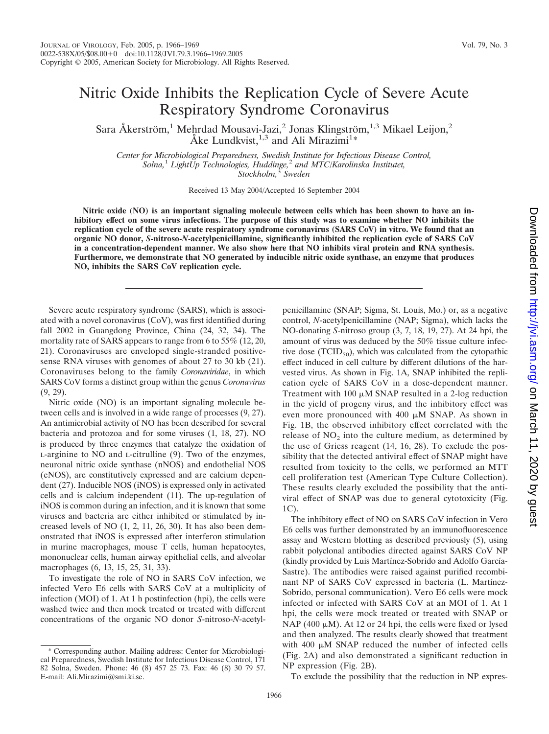## Nitric Oxide Inhibits the Replication Cycle of Severe Acute Respiratory Syndrome Coronavirus

Sara Åkerström,<sup>1</sup> Mehrdad Mousavi-Jazi,<sup>2</sup> Jonas Klingström,<sup>1,3</sup> Mikael Leijon,<sup>2</sup> Åke Lundkvist,  $1,3$  and Ali Mirazimi<sup>1\*</sup>

*Center for Microbiological Preparedness, Swedish Institute for Infectious Disease Control, Solna,*<sup>1</sup> *LightUp Technologies, Huddinge,*<sup>2</sup> *and MTC/Karolinska Institutet, Stockholm,*<sup>3</sup> *Sweden*

Received 13 May 2004/Accepted 16 September 2004

**Nitric oxide (NO) is an important signaling molecule between cells which has been shown to have an inhibitory effect on some virus infections. The purpose of this study was to examine whether NO inhibits the replication cycle of the severe acute respiratory syndrome coronavirus (SARS CoV) in vitro. We found that an organic NO donor,** *S***-nitroso-***N***-acetylpenicillamine, significantly inhibited the replication cycle of SARS CoV in a concentration-dependent manner. We also show here that NO inhibits viral protein and RNA synthesis. Furthermore, we demonstrate that NO generated by inducible nitric oxide synthase, an enzyme that produces NO, inhibits the SARS CoV replication cycle.**

Severe acute respiratory syndrome (SARS), which is associated with a novel coronavirus (CoV), was first identified during fall 2002 in Guangdong Province, China (24, 32, 34). The mortality rate of SARS appears to range from 6 to 55% (12, 20, 21). Coronaviruses are enveloped single-stranded positivesense RNA viruses with genomes of about 27 to 30 kb (21). Coronaviruses belong to the family *Coronaviridae*, in which SARS CoV forms a distinct group within the genus *Coronavirus* (9, 29).

Nitric oxide (NO) is an important signaling molecule between cells and is involved in a wide range of processes (9, 27). An antimicrobial activity of NO has been described for several bacteria and protozoa and for some viruses (1, 18, 27). NO is produced by three enzymes that catalyze the oxidation of L-arginine to NO and L-citrulline (9). Two of the enzymes, neuronal nitric oxide synthase (nNOS) and endothelial NOS (eNOS), are constitutively expressed and are calcium dependent (27). Inducible NOS (iNOS) is expressed only in activated cells and is calcium independent (11). The up-regulation of iNOS is common during an infection, and it is known that some viruses and bacteria are either inhibited or stimulated by increased levels of NO (1, 2, 11, 26, 30). It has also been demonstrated that iNOS is expressed after interferon stimulation in murine macrophages, mouse T cells, human hepatocytes, mononuclear cells, human airway epithelial cells, and alveolar macrophages (6, 13, 15, 25, 31, 33).

To investigate the role of NO in SARS CoV infection, we infected Vero E6 cells with SARS CoV at a multiplicity of infection (MOI) of 1. At 1 h postinfection (hpi), the cells were washed twice and then mock treated or treated with different concentrations of the organic NO donor *S*-nitroso-*N*-acetylpenicillamine (SNAP; Sigma, St. Louis, Mo.) or, as a negative control, *N*-acetylpenicillamine (NAP; Sigma), which lacks the NO-donating *S*-nitroso group (3, 7, 18, 19, 27). At 24 hpi, the amount of virus was deduced by the 50% tissue culture infective dose (TCID<sub>50</sub>), which was calculated from the cytopathic effect induced in cell culture by different dilutions of the harvested virus. As shown in Fig. 1A, SNAP inhibited the replication cycle of SARS CoV in a dose-dependent manner. Treatment with  $100 \mu M$  SNAP resulted in a 2-log reduction in the yield of progeny virus, and the inhibitory effect was even more pronounced with  $400 \mu M$  SNAP. As shown in Fig. 1B, the observed inhibitory effect correlated with the release of  $NO<sub>2</sub>$  into the culture medium, as determined by the use of Griess reagent (14, 16, 28). To exclude the possibility that the detected antiviral effect of SNAP might have resulted from toxicity to the cells, we performed an MTT cell proliferation test (American Type Culture Collection). These results clearly excluded the possibility that the antiviral effect of SNAP was due to general cytotoxicity (Fig. 1C).

The inhibitory effect of NO on SARS CoV infection in Vero E6 cells was further demonstrated by an immunofluorescence assay and Western blotting as described previously (5), using rabbit polyclonal antibodies directed against SARS CoV NP (kindly provided by Luis Martínez-Sobrido and Adolfo García-Sastre). The antibodies were raised against purified recombinant NP of SARS CoV expressed in bacteria (L. Martínez-Sobrido, personal communication). Vero E6 cells were mock infected or infected with SARS CoV at an MOI of 1. At 1 hpi, the cells were mock treated or treated with SNAP or NAP (400  $\mu$ M). At 12 or 24 hpi, the cells were fixed or lysed and then analyzed. The results clearly showed that treatment with  $400 \mu M$  SNAP reduced the number of infected cells (Fig. 2A) and also demonstrated a significant reduction in NP expression (Fig. 2B).

To exclude the possibility that the reduction in NP expres-

Downloaded from http://yi.asm.org/ on March 11, 2020 by gues on March 11, 2020 by guest <http://jvi.asm.org/> Downloaded from

Corresponding author. Mailing address: Center for Microbiological Preparedness, Swedish Institute for Infectious Disease Control, 171 82 Solna, Sweden. Phone: 46 (8) 457 25 73. Fax: 46 (8) 30 79 57. E-mail: Ali.Mirazimi@smi.ki.se.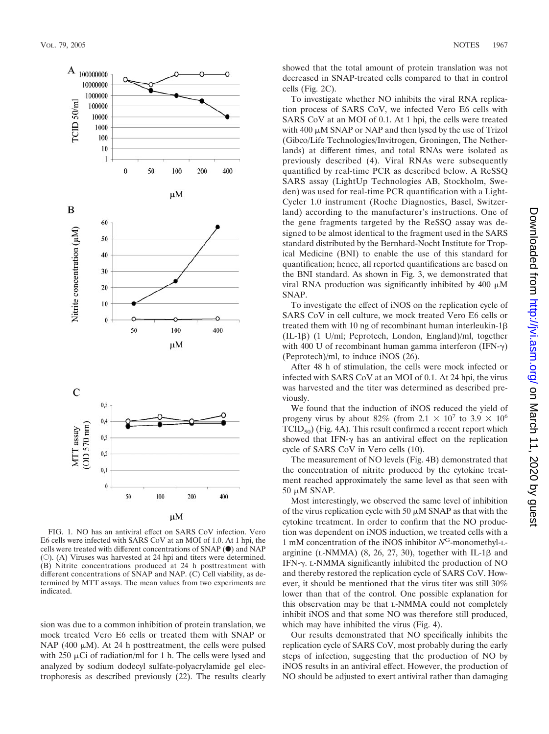

FIG. 1. NO has an antiviral effect on SARS CoV infection. Vero E6 cells were infected with SARS CoV at an MOI of 1.0. At 1 hpi, the cells were treated with different concentrations of SNAP  $(\bullet)$  and NAP (E). (A) Viruses was harvested at 24 hpi and titers were determined. (B) Nitrite concentrations produced at 24 h posttreatment with different concentrations of SNAP and NAP. (C) Cell viability, as determined by MTT assays. The mean values from two experiments are indicated.

sion was due to a common inhibition of protein translation, we mock treated Vero E6 cells or treated them with SNAP or NAP (400  $\mu$ M). At 24 h posttreatment, the cells were pulsed with 250  $\mu$ Ci of radiation/ml for 1 h. The cells were lysed and analyzed by sodium dodecyl sulfate-polyacrylamide gel electrophoresis as described previously (22). The results clearly showed that the total amount of protein translation was not decreased in SNAP-treated cells compared to that in control cells (Fig. 2C).

To investigate whether NO inhibits the viral RNA replication process of SARS CoV, we infected Vero E6 cells with SARS CoV at an MOI of 0.1. At 1 hpi, the cells were treated with  $400 \mu M$  SNAP or NAP and then lysed by the use of Trizol (Gibco/Life Technologies/Invitrogen, Groningen, The Netherlands) at different times, and total RNAs were isolated as previously described (4). Viral RNAs were subsequently quantified by real-time PCR as described below. A ReSSQ SARS assay (LightUp Technologies AB, Stockholm, Sweden) was used for real-time PCR quantification with a Light-Cycler 1.0 instrument (Roche Diagnostics, Basel, Switzerland) according to the manufacturer's instructions. One of the gene fragments targeted by the ReSSQ assay was designed to be almost identical to the fragment used in the SARS standard distributed by the Bernhard-Nocht Institute for Tropical Medicine (BNI) to enable the use of this standard for quantification; hence, all reported quantifications are based on the BNI standard. As shown in Fig. 3, we demonstrated that viral RNA production was significantly inhibited by  $400 \mu M$ SNAP.

To investigate the effect of iNOS on the replication cycle of SARS CoV in cell culture, we mock treated Vero E6 cells or treated them with 10 ng of recombinant human interleukin-1  $(IL-1\beta)$  (1 U/ml; Peprotech, London, England)/ml, together with 400 U of recombinant human gamma interferon (IFN- $\gamma$ ) (Peprotech)/ml, to induce iNOS (26).

After 48 h of stimulation, the cells were mock infected or infected with SARS CoV at an MOI of 0.1. At 24 hpi, the virus was harvested and the titer was determined as described previously.

We found that the induction of iNOS reduced the yield of progeny virus by about 82% (from 2.1  $\times$  10<sup>7</sup> to 3.9  $\times$  10<sup>6</sup>  $TCID_{50}$  (Fig. 4A). This result confirmed a recent report which showed that IFN- $\gamma$  has an antiviral effect on the replication cycle of SARS CoV in Vero cells (10).

The measurement of NO levels (Fig. 4B) demonstrated that the concentration of nitrite produced by the cytokine treatment reached approximately the same level as that seen with  $50 \mu M$  SNAP.

Most interestingly, we observed the same level of inhibition of the virus replication cycle with 50  $\mu$ M SNAP as that with the cytokine treatment. In order to confirm that the NO production was dependent on iNOS induction, we treated cells with a 1 mM concentration of the iNOS inhibitor *N*G-monomethyl-Larginine (L-NMMA)  $(8, 26, 27, 30)$ , together with IL-1 $\beta$  and IFN- $\gamma$ . L-NMMA significantly inhibited the production of NO and thereby restored the replication cycle of SARS CoV. However, it should be mentioned that the virus titer was still 30% lower than that of the control. One possible explanation for this observation may be that L-NMMA could not completely inhibit iNOS and that some NO was therefore still produced, which may have inhibited the virus (Fig. 4).

Our results demonstrated that NO specifically inhibits the replication cycle of SARS CoV, most probably during the early steps of infection, suggesting that the production of NO by iNOS results in an antiviral effect. However, the production of NO should be adjusted to exert antiviral rather than damaging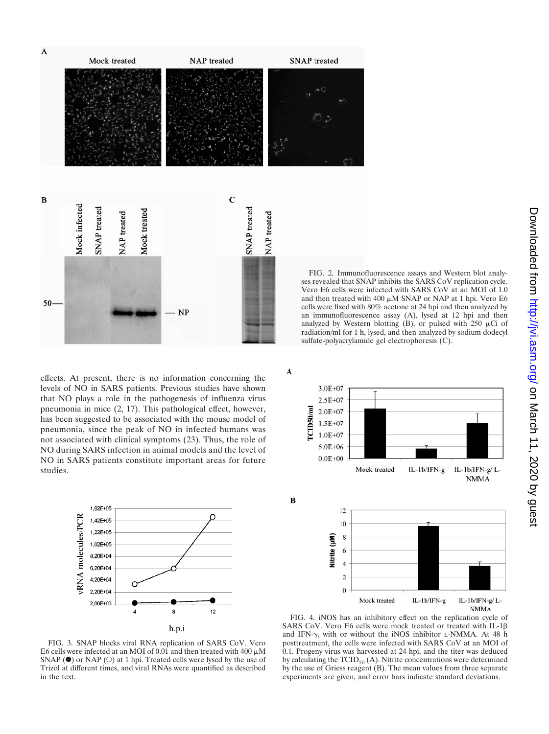

effects. At present, there is no information concerning the levels of NO in SARS patients. Previous studies have shown that NO plays a role in the pathogenesis of influenza virus pneumonia in mice (2, 17). This pathological effect, however, has been suggested to be associated with the mouse model of pneumonia, since the peak of NO in infected humans was not associated with clinical symptoms (23). Thus, the role of NO during SARS infection in animal models and the level of NO in SARS patients constitute important areas for future studies.



FIG. 3. SNAP blocks viral RNA replication of SARS CoV. Vero E6 cells were infected at an MOI of 0.01 and then treated with 400  $\mu$ M SNAP ( $\bullet$ ) or NAP ( $\circ$ ) at 1 hpi. Treated cells were lysed by the use of Trizol at different times, and viral RNAs were quantified as described in the text.

 $3.0E + 07$  $2.5E + 07$ rcm50/ml  $2.0E + 07$  $1.5E + 07$  $1.0E + 07$  $5.0E + 06$  $0.0E + 00$ Mock treated IL-1b/IFN-g IL-1b/IFN-g/L-**NMMA** B

A



FIG. 4. iNOS has an inhibitory effect on the replication cycle of SARS CoV. Vero E6 cells were mock treated or treated with IL-1 $\beta$ and IFN- $\gamma$ , with or without the iNOS inhibitor L-NMMA. At 48 h posttreatment, the cells were infected with SARS CoV at an MOI of 0.1. Progeny virus was harvested at 24 hpi, and the titer was deduced by calculating the  $TCID_{50}(A)$ . Nitrite concentrations were determined by the use of Griess reagent (B). The mean values from three separate experiments are given, and error bars indicate standard deviations.